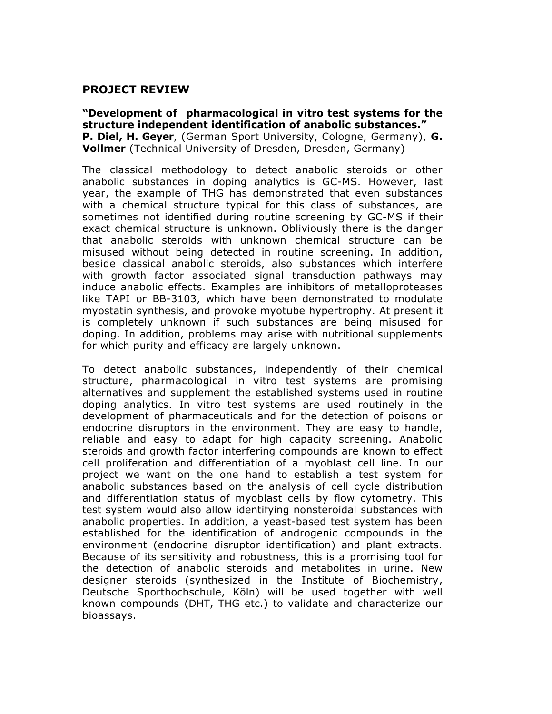## **PROJECT REVIEW**

**"Development of pharmacological in vitro test systems for the structure independent identification of anabolic substances." P. Diel, H. Geyer**, (German Sport University, Cologne, Germany), **G. Vollmer** (Technical University of Dresden, Dresden, Germany)

The classical methodology to detect anabolic steroids or other anabolic substances in doping analytics is GC-MS. However, last year, the example of THG has demonstrated that even substances with a chemical structure typical for this class of substances, are sometimes not identified during routine screening by GC-MS if their exact chemical structure is unknown. Obliviously there is the danger that anabolic steroids with unknown chemical structure can be misused without being detected in routine screening. In addition, beside classical anabolic steroids, also substances which interfere with growth factor associated signal transduction pathways may induce anabolic effects. Examples are inhibitors of metalloproteases like TAPI or BB-3103, which have been demonstrated to modulate myostatin synthesis, and provoke myotube hypertrophy. At present it is completely unknown if such substances are being misused for doping. In addition, problems may arise with nutritional supplements for which purity and efficacy are largely unknown.

To detect anabolic substances, independently of their chemical structure, pharmacological in vitro test systems are promising alternatives and supplement the established systems used in routine doping analytics. In vitro test systems are used routinely in the development of pharmaceuticals and for the detection of poisons or endocrine disruptors in the environment. They are easy to handle, reliable and easy to adapt for high capacity screening. Anabolic steroids and growth factor interfering compounds are known to effect cell proliferation and differentiation of a myoblast cell line. In our project we want on the one hand to establish a test system for anabolic substances based on the analysis of cell cycle distribution and differentiation status of myoblast cells by flow cytometry. This test system would also allow identifying nonsteroidal substances with anabolic properties. In addition, a yeast-based test system has been established for the identification of androgenic compounds in the environment (endocrine disruptor identification) and plant extracts. Because of its sensitivity and robustness, this is a promising tool for the detection of anabolic steroids and metabolites in urine. New designer steroids (synthesized in the Institute of Biochemistry, Deutsche Sporthochschule, Köln) will be used together with well known compounds (DHT, THG etc.) to validate and characterize our bioassays.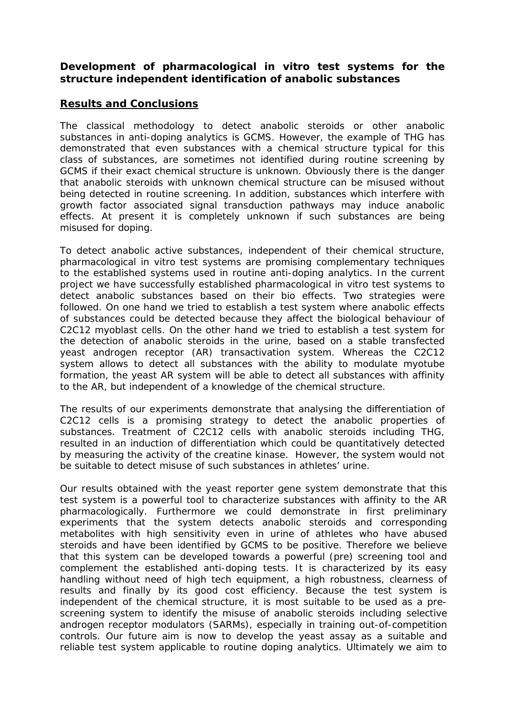## **Development of pharmacological in vitro test systems for the structure independent identification of anabolic substances**

## **Results and Conclusions**

The classical methodology to detect anabolic steroids or other anabolic substances in anti-doping analytics is GCMS. However, the example of THG has demonstrated that even substances with a chemical structure typical for this class of substances, are sometimes not identified during routine screening by GCMS if their exact chemical structure is unknown. Obviously there is the danger that anabolic steroids with unknown chemical structure can be misused without being detected in routine screening. In addition, substances which interfere with growth factor associated signal transduction pathways may induce anabolic effects. At present it is completely unknown if such substances are being misused for doping.

To detect anabolic active substances, independent of their chemical structure, pharmacological in vitro test systems are promising complementary techniques to the established systems used in routine anti-doping analytics. In the current project we have successfully established pharmacological in vitro test systems to detect anabolic substances based on their bio effects. Two strategies were followed. On one hand we tried to establish a test system where anabolic effects of substances could be detected because they affect the biological behaviour of C2C12 myoblast cells. On the other hand we tried to establish a test system for the detection of anabolic steroids in the urine, based on a stable transfected yeast androgen receptor (AR) transactivation system. Whereas the C2C12 system allows to detect all substances with the ability to modulate myotube formation, the yeast AR system will be able to detect all substances with affinity to the AR, but independent of a knowledge of the chemical structure.

The results of our experiments demonstrate that analysing the differentiation of C2C12 cells is a promising strategy to detect the anabolic properties of substances. Treatment of C2C12 cells with anabolic steroids including THG, resulted in an induction of differentiation which could be quantitatively detected by measuring the activity of the creatine kinase. However, the system would not be suitable to detect misuse of such substances in athletes' urine.

Our results obtained with the yeast reporter gene system demonstrate that this test system is a powerful tool to characterize substances with affinity to the AR pharmacologically. Furthermore we could demonstrate in first preliminary experiments that the system detects anabolic steroids and corresponding metabolites with high sensitivity even in urine of athletes who have abused steroids and have been identified by GCMS to be positive. Therefore we believe that this system can be developed towards a powerful (pre) screening tool and complement the established anti-doping tests. It is characterized by its easy handling without need of high tech equipment, a high robustness, clearness of results and finally by its good cost efficiency. Because the test system is independent of the chemical structure, it is most suitable to be used as a prescreening system to identify the misuse of anabolic steroids including selective androgen receptor modulators (SARMs), especially in training out-of-competition controls. Our future aim is now to develop the yeast assay as a suitable and reliable test system applicable to routine doping analytics. Ultimately we aim to